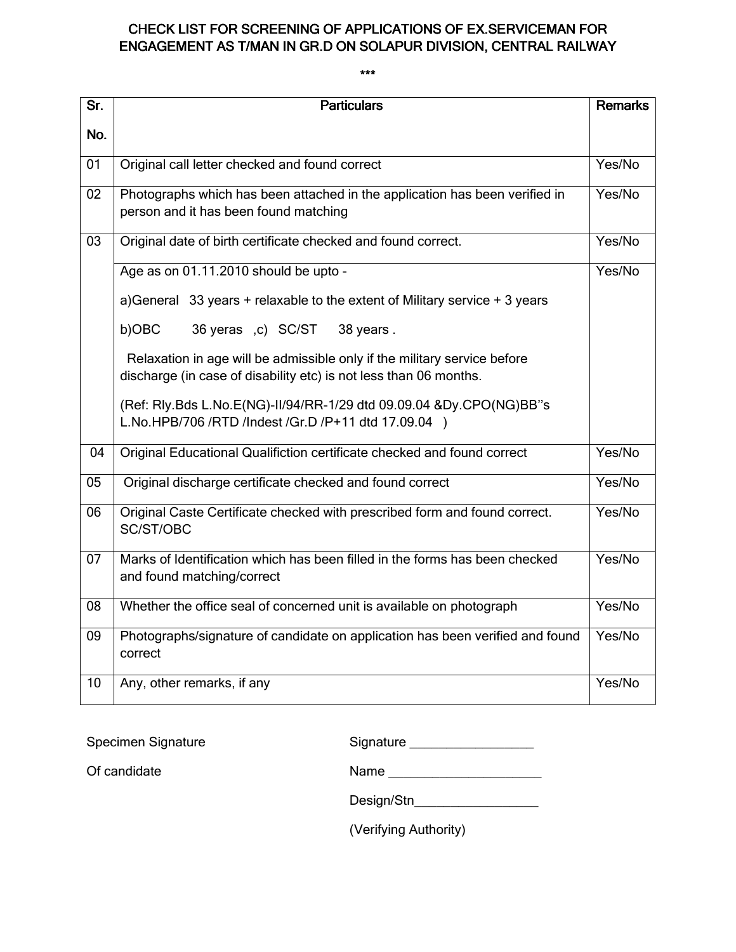# CHECK LIST FOR SCREENING OF APPLICATIONS OF EX.SERVICEMAN FOR ENGAGEMENT AS T/MAN IN GR.D ON SOLAPUR DIVISION, CENTRAL RAILWAY

| Sr.             | <b>Particulars</b>                                                                                                                            | <b>Remarks</b> |
|-----------------|-----------------------------------------------------------------------------------------------------------------------------------------------|----------------|
| No.             |                                                                                                                                               |                |
| 01              | Original call letter checked and found correct                                                                                                | Yes/No         |
| $\overline{02}$ | Photographs which has been attached in the application has been verified in<br>person and it has been found matching                          | Yes/No         |
| 03              | Original date of birth certificate checked and found correct.                                                                                 | Yes/No         |
|                 | Age as on 01.11.2010 should be upto -                                                                                                         | Yes/No         |
|                 | a) General 33 years + relaxable to the extent of Military service + 3 years                                                                   |                |
|                 | b)OBC<br>36 yeras ,c) SC/ST<br>38 years.                                                                                                      |                |
|                 | Relaxation in age will be admissible only if the military service before<br>discharge (in case of disability etc) is not less than 06 months. |                |
|                 | (Ref: Rly.Bds L.No.E(NG)-II/94/RR-1/29 dtd 09.09.04 &Dy.CPO(NG)BB"s<br>L.No.HPB/706 /RTD /Indest /Gr.D /P+11 dtd 17.09.04 )                   |                |
| 04              | Original Educational Qualifiction certificate checked and found correct                                                                       | Yes/No         |
| 05              | Original discharge certificate checked and found correct                                                                                      | Yes/No         |
| 06              | Original Caste Certificate checked with prescribed form and found correct.<br>SC/ST/OBC                                                       | Yes/No         |
| 07              | Marks of Identification which has been filled in the forms has been checked<br>and found matching/correct                                     | Yes/No         |
| 08              | Whether the office seal of concerned unit is available on photograph                                                                          | Yes/No         |
| 09              | Photographs/signature of candidate on application has been verified and found<br>correct                                                      | Yes/No         |
| $\overline{10}$ | Any, other remarks, if any                                                                                                                    | Yes/No         |

| <b>Specimen Signature</b> | Signature             |
|---------------------------|-----------------------|
| Of candidate              | Name                  |
|                           | Design/Stn            |
|                           | (Verifying Authority) |

#### \*\*\*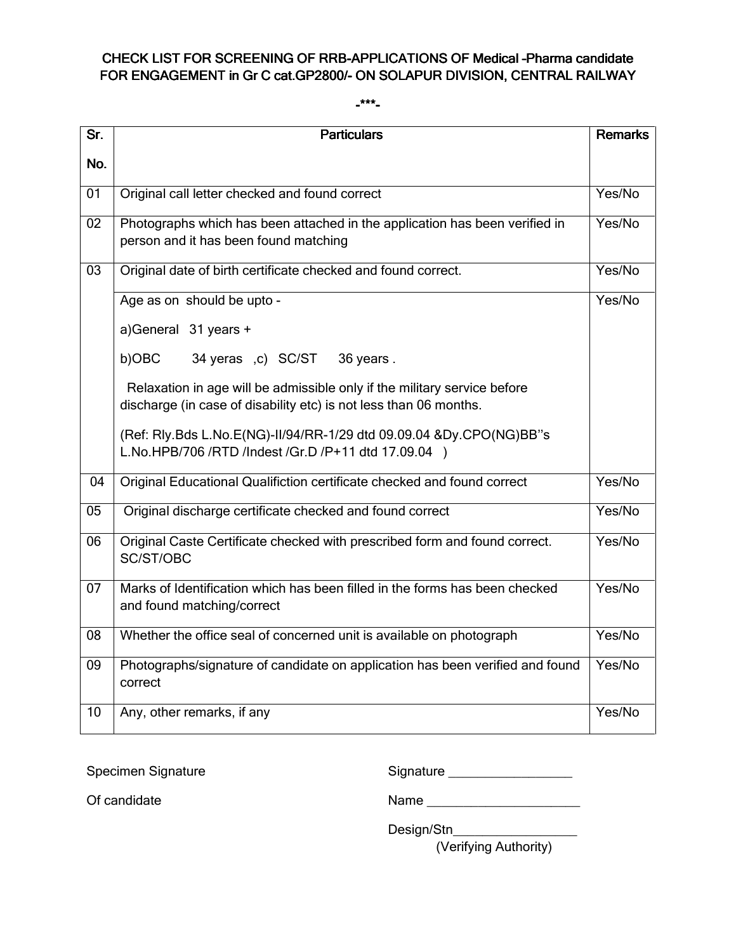## CHECK LIST FOR SCREENING OF RRB-APPLICATIONS OF Medical -Pharma candidate FOR ENGAGEMENT in Gr C cat.GP2800/- ON SOLAPUR DIVISION, CENTRAL RAILWAY

#### $-***-$

| Sr.             | <b>Particulars</b>                                                                                                                            | <b>Remarks</b> |
|-----------------|-----------------------------------------------------------------------------------------------------------------------------------------------|----------------|
| No.             |                                                                                                                                               |                |
| 01              | Original call letter checked and found correct                                                                                                | Yes/No         |
| 02              | Photographs which has been attached in the application has been verified in<br>person and it has been found matching                          | Yes/No         |
| 03              | Original date of birth certificate checked and found correct.                                                                                 | Yes/No         |
|                 | Age as on should be upto -                                                                                                                    | Yes/No         |
|                 | a)General 31 years +                                                                                                                          |                |
|                 | b)OBC<br>34 yeras ,c) SC/ST<br>36 years.                                                                                                      |                |
|                 | Relaxation in age will be admissible only if the military service before<br>discharge (in case of disability etc) is not less than 06 months. |                |
|                 | (Ref: Rly.Bds L.No.E(NG)-II/94/RR-1/29 dtd 09.09.04 &Dy.CPO(NG)BB"s<br>L.No.HPB/706 /RTD /Indest /Gr.D /P+11 dtd 17.09.04 )                   |                |
| 04              | Original Educational Qualifiction certificate checked and found correct                                                                       | Yes/No         |
| 05              | Original discharge certificate checked and found correct                                                                                      | Yes/No         |
| 06              | Original Caste Certificate checked with prescribed form and found correct.<br>SC/ST/OBC                                                       | Yes/No         |
| 07              | Marks of Identification which has been filled in the forms has been checked<br>and found matching/correct                                     | Yes/No         |
| 08              | Whether the office seal of concerned unit is available on photograph                                                                          | Yes/No         |
| 09              | Photographs/signature of candidate on application has been verified and found<br>correct                                                      | Yes/No         |
| $\overline{10}$ | Any, other remarks, if any                                                                                                                    | Yes/No         |

| Specimen Signature | Signature |
|--------------------|-----------|
|--------------------|-----------|

Of candidate Name \_\_\_\_\_\_\_\_\_\_\_\_\_\_\_\_\_\_\_\_\_

Design/Stn\_\_\_\_\_\_\_\_\_\_\_\_\_\_\_\_\_

(Verifying Authority)